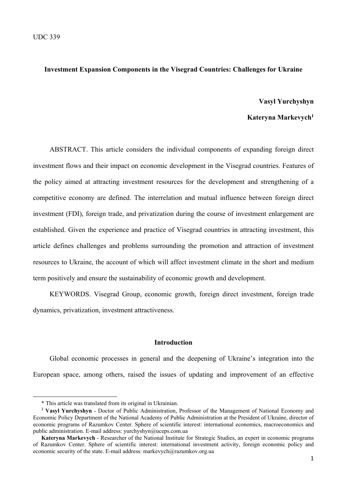# **Investment Expansion Components in the Visegrad Countries: Challenges for Ukraine**

#### **Vasyl Yurchyshyn**

## **Kateryna Markevych1**

ABSTRACT. This article considers the individual components of expanding foreign direct investment flows and their impact on economic development in the Visegrad countries. Features of the policy aimed at attracting investment resources for the development and strengthening of a competitive economy are defined. The interrelation and mutual influence between foreign direct investment (FDI), foreign trade, and privatization during the course of investment enlargement are established. Given the experience and practice of Visegrad countries in attracting investment, this article defines challenges and problems surrounding the promotion and attraction of investment resources to Ukraine, the account of which will affect investment climate in the short and medium term positively and ensure the sustainability of economic growth and development.

KEYWORDS. Visegrad Group, economic growth, foreign direct investment, foreign trade dynamics, privatization, investment attractiveness.

#### **Introduction**

Global economic processes in general and the deepening of Ukraine's integration into the European space, among others, raised the issues of updating and improvement of an effective

<sup>\*</sup> This article was translated from its original in Ukrainian.

<sup>&</sup>lt;sup>1</sup> **Vasyl Yurchyshyn** - Doctor of Public Administration, Professor of the Management of National Economy and Economic Policy Department of the National Academy of Public Administration at the President of Ukraine, director of economic programs of Razumkov Center. Sphere of scientific interest: international economics, macroeconomics and public administration. E-mail address: yurchyshyn@uceps.com.ua

**Kateryna Markevych** - Researcher of the National Institute for Strategic Studies, an expert in economic programs of Razumkov Center. Sphere of scientific interest: international investment activity, foreign economic policy and economic security of the state. E-mail address: markevych@razumkov.org.ua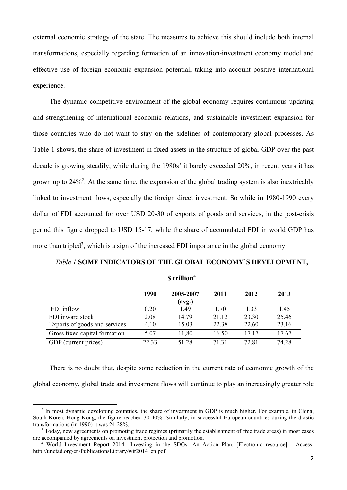external economic strategy of the state. The measures to achieve this should include both internal transformations, especially regarding formation of an innovation-investment economy model and effective use of foreign economic expansion potential, taking into account positive international experience.

The dynamic competitive environment of the global economy requires continuous updating and strengthening of international economic relations, and sustainable investment expansion for those countries who do not want to stay on the sidelines of contemporary global processes. As Table 1 shows, the share of investment in fixed assets in the structure of global GDP over the past decade is growing steadily; while during the 1980s' it barely exceeded 20%, in recent years it has grown up to  $24\%^2$ . At the same time, the expansion of the global trading system is also inextricably linked to investment flows, especially the foreign direct investment. So while in 1980-1990 every dollar of FDI accounted for over USD 20-30 of exports of goods and services, in the post-crisis period this figure dropped to USD 15-17, while the share of accumulated FDI in world GDP has more than tripled<sup>3</sup>, which is a sign of the increased FDI importance in the global economy.

# *Table 1* **SOME INDICATORS OF THE GLOBAL ECONOMY`S DEVELOPMENT,**

|                               | 1990  | 2005-2007 | 2011  | 2012  | 2013  |
|-------------------------------|-------|-----------|-------|-------|-------|
|                               |       | (avg.)    |       |       |       |
| FDI inflow                    | 0.20  | 1.49      | 1.70  | 1.33  | 1.45  |
| FDI inward stock              | 2.08  | 14.79     | 21.12 | 23.30 | 25.46 |
| Exports of goods and services | 4.10  | 15.03     | 22.38 | 22.60 | 23.16 |
| Gross fixed capital formation | 5.07  | 11,80     | 16.50 | 17 17 | 17.67 |
| GDP (current prices)          | 22.33 | 51.28     | 71.31 | 72.81 | 74.28 |

## **\$ trillion**<sup>4</sup>

There is no doubt that, despite some reduction in the current rate of economic growth of the global economy, global trade and investment flows will continue to play an increasingly greater role

<sup>&</sup>lt;sup>2</sup> In most dynamic developing countries, the share of investment in GDP is much higher. For example, in China, South Korea, Hong Kong, the figure reached 30-40%. Similarly, in successful European countries during the drastic transformations (in 1990) it was 24-28%.

<sup>&</sup>lt;sup>3</sup> Today, new agreements on promoting trade regimes (primarily the establishment of free trade areas) in most cases are accompanied by agreements on investment protection and promotion. 4

<sup>&</sup>lt;sup>4</sup> World Investment Report 2014: Investing in the SDGs: An Action Plan. [Electronic resource] - Access: http://unctad.org/en/PublicationsLibrary/wir2014\_en.pdf.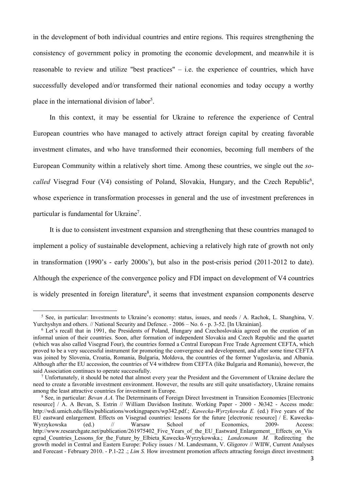in the development of both individual countries and entire regions. This requires strengthening the consistency of government policy in promoting the economic development, and meanwhile it is reasonable to review and utilize "best practices" – i.e. the experience of countries, which have successfully developed and/or transformed their national economies and today occupy a worthy place in the international division of labor<sup>5</sup>.

In this context, it may be essential for Ukraine to reference the experience of Central European countries who have managed to actively attract foreign capital by creating favorable investment climates, and who have transformed their economies, becoming full members of the European Community within a relatively short time. Among these countries, we single out the *so*called Visegrad Four (V4) consisting of Poland, Slovakia, Hungary, and the Czech Republic<sup>6</sup>, whose experience in transformation processes in general and the use of investment preferences in particular is fundamental for Ukraine<sup>7</sup>.

It is due to consistent investment expansion and strengthening that these countries managed to implement a policy of sustainable development, achieving a relatively high rate of growth not only in transformation (1990's - early 2000s'), but also in the post-crisis period (2011-2012 to date). Although the experience of the convergence policy and FDI impact on development of V4 countries is widely presented in foreign literature<sup>8</sup>, it seems that investment expansion components deserve

<sup>&</sup>lt;sup>5</sup> See, in particular: Investments to Ukraine's economy: status, issues, and needs / A. Rachok, L. Shanghina, V. Yurchyshyn and others. // National Security and Defence. - 2006 – No. 6 - p. 3-52. [In Ukrainian].

<sup>&</sup>lt;sup>6</sup> Let's recall that in 1991, the Presidents of Poland, Hungary and Czechoslovakia agreed on the creation of an informal union of their countries. Soon, after formation of independent Slovakia and Czech Republic and the quartet (which was also called Visegrad Four), the countries formed a Central European Free Trade Agreement CEFTA, which proved to be a very successful instrument for promoting the convergence and development, and after some time CEFTA was joined by Slovenia, Croatia, Romania, Bulgaria, Moldova, the countries of the former Yugoslavia, and Albania. Although after the EU accession, the countries of V4 withdrew from CEFTA (like Bulgaria and Romania), however, the said Association continues to operate successfully.

 $<sup>7</sup>$  Unfortunately, it should be noted that almost every year the President and the Government of Ukraine declare the</sup> need to create a favorable investment environment. However, the results are still quite unsatisfactory, Ukraine remains among the least attractive countries for investment in Europe.

<sup>&</sup>lt;sup>8</sup> See, in particular: *Bevan A.A*. The Determinants of Foreign Direct Investment in Transition Economies [Electronic resource] / A. A Bevan, S. Estrin // William Davidson Institute. Working Paper - 2000 - №342 - Access mode: http://wdi.umich.edu/files/publications/workingpapers/wp342.pdf.; *Kawecka-Wyrzykowska E.* (ed.) Five years of the EU eastward enlargement. Effects on Visegrad countries: lessons for the future [electronic resource] / E. Kawecka-Wyrzykowska (ed.) // Warsaw School of Economics, 2009- Access: http://www.researchgate.net/publication/261975402 Five Years of the EU Eastward Enlargement Effects on Vis egrad\_Countries\_Lessons\_for\_the\_Future\_by\_Elbieta\_Kawecka-Wyrzykowska.; *Landesmann M.* Redirecting the growth model in Central and Eastern Europe: Policy issues / M. Landesmann, V. Gligorov // WIIW, Current Analyses and Forecast - February 2010. - P.1-22 .; *Lim S.* How investment promotion affects attracting foreign direct investment: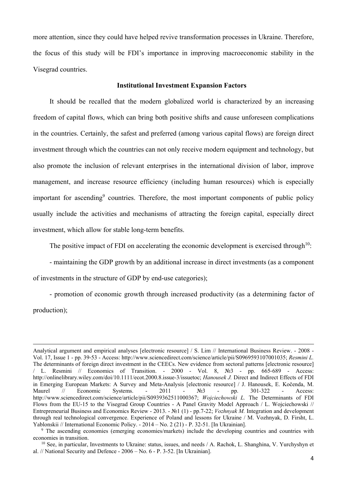more attention, since they could have helped revive transformation processes in Ukraine. Therefore, the focus of this study will be FDI's importance in improving macroeconomic stability in the Visegrad countries.

#### **Institutional Investment Expansion Factors**

It should be recalled that the modern globalized world is characterized by an increasing freedom of capital flows, which can bring both positive shifts and cause unforeseen complications in the countries. Certainly, the safest and preferred (among various capital flows) are foreign direct investment through which the countries can not only receive modern equipment and technology, but also promote the inclusion of relevant enterprises in the international division of labor, improve management, and increase resource efficiency (including human resources) which is especially important for ascending<sup>9</sup> countries. Therefore, the most important components of public policy usually include the activities and mechanisms of attracting the foreign capital, especially direct investment, which allow for stable long-term benefits.

The positive impact of FDI on accelerating the economic development is exercised through  $10$ :

- maintaining the GDP growth by an additional increase in direct investments (as a component of investments in the structure of GDP by end-use categories);

- promotion of economic growth through increased productivity (as a determining factor of production);

<u> 1989 - Johann Stoff, amerikansk politiker (d. 1989)</u>

Analytical argument and empirical analyses [electronic resource] / S. Lim // International Business Review. - 2008 - Vol. 17, Issue 1 - pp. 39‐53 - Access: http://www.sciencedirect.com/science/article/pii/S0969593107001035; *Resmini L.* The determinants of foreign direct investment in the CEECs. New evidence from sectoral patterns [electronic resource] / L. Resmini // Economics of Transition. - 2000 - Vol. 8, №3 - pp. 665‐689 - Access: http://onlinelibrary.wiley.com/doi/10.1111/ecot.2000.8.issue-3/issuetoc; *Hanousek J.* Direct and Indirect Effects of FDI in Emerging European Markets: A Survey and Meta-Analysis [electronic resource] / J. Hanousek, E. Kočenda, M. Maurel // Economic Systems. - 2011 - №3 - pp. 301-322 - Access: http://www.sciencedirect.com/science/article/pii/S0939362511000367; *Wojciechowski L.* The Determinants of FDI Flows from the EU-15 to the Visegrad Group Countries - A Panel Gravity Model Approach / L. Wojciechowski // Entrepreneurial Business and Economics Review - 2013. - №1 (1) - pp.7-22; *Vozhnyak M.* Integration and development through real technological convergence. Experience of Poland and lessons for Ukraine / M. Vozhnyak, D. Firsht, L. Yablonskii // International Economic Policy. - 2014 – No. 2 (21) - P. 32-51. [In Ukrainian].

<sup>9</sup> The ascending economies (emerging economies/markets) include the developing countries and countries with economies in transition.

<sup>&</sup>lt;sup>10</sup> See, in particular, Investments to Ukraine: status, issues, and needs / A. Rachok, L. Shanghina, V. Yurchyshyn et al. // National Security and Defence - 2006 – No. 6 - P. 3-52. [In Ukrainian].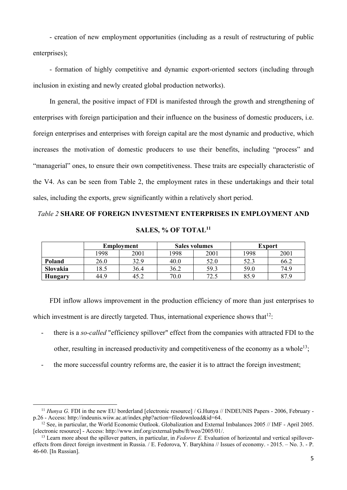- creation of new employment opportunities (including as a result of restructuring of public enterprises);

- formation of highly competitive and dynamic export-oriented sectors (including through inclusion in existing and newly created global production networks).

In general, the positive impact of FDI is manifested through the growth and strengthening of enterprises with foreign participation and their influence on the business of domestic producers, i.e. foreign enterprises and enterprises with foreign capital are the most dynamic and productive, which increases the motivation of domestic producers to use their benefits, including "process" and "managerial" ones, to ensure their own competitiveness. These traits are especially characteristic of the V4. As can be seen from Table 2, the employment rates in these undertakings and their total sales, including the exports, grew significantly within a relatively short period.

# *Table 2* **SHARE OF FOREIGN INVESTMENT ENTERPRISES IN EMPLOYMENT AND**

| SALES, % OF TOTAL <sup>11</sup> |  |  |  |  |
|---------------------------------|--|--|--|--|
|---------------------------------|--|--|--|--|

|          | <b>Employment</b> |      |      | <b>Sales volumes</b> | <b>Export</b> |      |
|----------|-------------------|------|------|----------------------|---------------|------|
|          | 1998              | 2001 | 1998 | 2001                 | 1998          | 2001 |
| Poland   | 26.0              | 32.9 | 40.0 | 52.0                 | 52.3          | 66.2 |
| Slovakia | 18.5              | 36.4 | 36.2 | 59.3                 | 59.0          | 74.9 |
| Hungary  | 44.9              | 45.2 | 70.0 | 72.5                 | 85.9          | 87.9 |

FDI inflow allows improvement in the production efficiency of more than just enterprises to which investment is are directly targeted. Thus, international experience shows that  $12$ :

- there is a *so-called* "efficiency spillover" effect from the companies with attracted FDI to the other, resulting in increased productivity and competitiveness of the economy as a whole<sup>13</sup>;
- the more successful country reforms are, the easier it is to attract the foreign investment;

<sup>&</sup>lt;sup>11</sup> *Hunya G*. FDI in the new EU borderland [electronic resource] / G.Hunya // INDEUNIS Papers - 2006, February - p.26 - Access: http://indeunis.wiiw.ac.at/index.php?action=filedownload&id=64.

<sup>&</sup>lt;sup>12</sup> See, in particular, the World Economic Outlook. Globalization and External Imbalances 2005 // IMF - April 2005. [electronic resource] - Access: http://www.imf.org/external/pubs/ft/weo/2005/01/.

<sup>&</sup>lt;sup>13</sup> Learn more about the spillover patters, in particular, in *Fedorov E*. Evaluation of horizontal and vertical spillovereffects from direct foreign investment in Russia. / E. Fedorova, Y. Barykhina // Issues of economy. - 2015. – No. 3. - P. 46-60. [In Russian].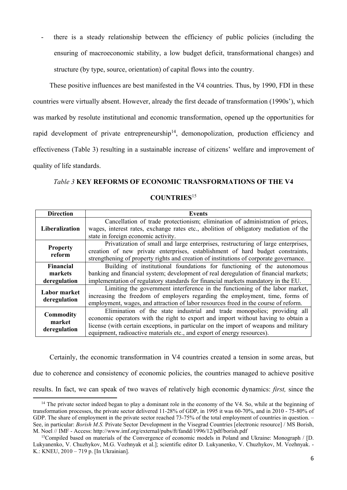- there is a steady relationship between the efficiency of public policies (including the ensuring of macroeconomic stability, a low budget deficit, transformational changes) and structure (by type, source, orientation) of capital flows into the country.

These positive influences are best manifested in the V4 countries. Thus, by 1990, FDI in these countries were virtually absent. However, already the first decade of transformation (1990s'), which was marked by resolute institutional and economic transformation, opened up the opportunities for rapid development of private entrepreneurship<sup>14</sup>, demonopolization, production efficiency and effectiveness (Table 3) resulting in a sustainable increase of citizens' welfare and improvement of quality of life standards.

# *Table 3* **KEY REFORMS OF ECONOMIC TRANSFORMATIONS OF THE V4**

# **COUNTRIES**<sup>15</sup>

| <b>Direction</b>                            | <b>Events</b>                                                                                                                                                                                                                                                                                                                    |
|---------------------------------------------|----------------------------------------------------------------------------------------------------------------------------------------------------------------------------------------------------------------------------------------------------------------------------------------------------------------------------------|
| Liberalization                              | Cancellation of trade protectionism; elimination of administration of prices,<br>wages, interest rates, exchange rates etc., abolition of obligatory mediation of the<br>state in foreign economic activity.                                                                                                                     |
| <b>Property</b><br>reform                   | Privatization of small and large enterprises, restructuring of large enterprises,<br>creation of new private enterprises, establishment of hard budget constraints,<br>strengthening of property rights and creation of institutions of corporate governance.                                                                    |
| <b>Financial</b><br>markets<br>deregulation | Building of institutional foundations for functioning of the autonomous<br>banking and financial system; development of real deregulation of financial markets;<br>implementation of regulatory standards for financial markets mandatory in the EU.                                                                             |
| <b>Labor market</b><br>deregulation         | Limiting the government interference in the functioning of the labor market,<br>increasing the freedom of employers regarding the employment, time, forms of<br>employment, wages, and attraction of labor resources freed in the course of reform.                                                                              |
| <b>Commodity</b><br>market<br>deregulation  | Elimination of the state industrial and trade monopolies; providing all<br>economic operators with the right to export and import without having to obtain a<br>license (with certain exceptions, in particular on the import of weapons and military<br>equipment, radioactive materials etc., and export of energy resources). |

Certainly, the economic transformation in V4 countries created a tension in some areas, but due to coherence and consistency of economic policies, the countries managed to achieve positive results. In fact, we can speak of two waves of relatively high economic dynamics: *first,* since the

 <sup>14</sup> The private sector indeed began to play a dominant role in the economy of the V4. So, while at the beginning of transformation processes, the private sector delivered 11-28% of GDP, in 1995 it was 60-70%, and in 2010 - 75-80% of GDP. The share of employment in the private sector reached 73-75% of the total employment of countries in question. – See, in particular: *Borish M.S.* Private Sector Development in the Visegrad Countries [electronic resource] / MS Borish, M. Noel // IMF - Access: http://www.imf.org/external/pubs/ft/fandd/1996/12/pdf/borish.pdf

<sup>&</sup>lt;sup>15</sup>Compiled based on materials of the Convergence of economic models in Poland and Ukraine: Monograph / [D. Lukyanenko, V. Chuzhykov, M.G. Vozhnyak et al.]; scientific editor D. Lukyanenko, V. Chuzhykov, M. Vozhnyak. - K.: KNEU, 2010 – 719 p. [In Ukrainian].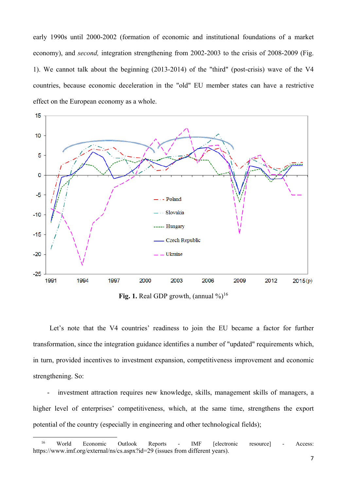early 1990s until 2000-2002 (formation of economic and institutional foundations of a market economy), and *second,* integration strengthening from 2002-2003 to the crisis of 2008-2009 (Fig. 1). We cannot talk about the beginning (2013-2014) of the "third" (post-crisis) wave of the V4 countries, because economic deceleration in the "old" EU member states can have a restrictive effect on the European economy as a whole.



**Fig. 1.** Real GDP growth, (annual  $\%$ )<sup>16</sup>

Let's note that the V4 countries' readiness to join the EU became a factor for further transformation, since the integration guidance identifies a number of "updated" requirements which, in turn, provided incentives to investment expansion, competitiveness improvement and economic strengthening. So:

- investment attraction requires new knowledge, skills, management skills of managers, a higher level of enterprises' competitiveness, which, at the same time, strengthens the export potential of the country (especially in engineering and other technological fields);

<sup>16</sup> World Economic Outlook Reports - IMF [electronic resource] - Access: https://www.imf.org/external/ns/cs.aspx?id=29 (issues from different years).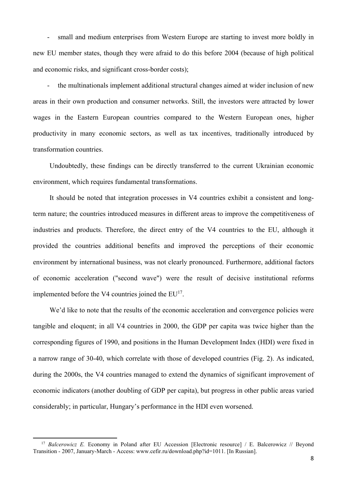- small and medium enterprises from Western Europe are starting to invest more boldly in new EU member states, though they were afraid to do this before 2004 (because of high political and economic risks, and significant cross-border costs);

- the multinationals implement additional structural changes aimed at wider inclusion of new areas in their own production and consumer networks. Still, the investors were attracted by lower wages in the Eastern European countries compared to the Western European ones, higher productivity in many economic sectors, as well as tax incentives, traditionally introduced by transformation countries.

Undoubtedly, these findings can be directly transferred to the current Ukrainian economic environment, which requires fundamental transformations.

It should be noted that integration processes in V4 countries exhibit a consistent and longterm nature; the countries introduced measures in different areas to improve the competitiveness of industries and products. Therefore, the direct entry of the V4 countries to the EU, although it provided the countries additional benefits and improved the perceptions of their economic environment by international business, was not clearly pronounced. Furthermore, additional factors of economic acceleration ("second wave") were the result of decisive institutional reforms implemented before the V4 countries joined the EU<sup>17</sup>.

We'd like to note that the results of the economic acceleration and convergence policies were tangible and eloquent; in all V4 countries in 2000, the GDP per capita was twice higher than the corresponding figures of 1990, and positions in the Human Development Index (HDI) were fixed in a narrow range of 30-40, which correlate with those of developed countries (Fig. 2). As indicated, during the 2000s, the V4 countries managed to extend the dynamics of significant improvement of economic indicators (another doubling of GDP per capita), but progress in other public areas varied considerably; in particular, Hungary's performance in the HDI even worsened.

<sup>&</sup>lt;sup>17</sup> *Balcerowicz E.* Economy in Poland after EU Accession [Electronic resource] / E. Balcerowicz // Beyond Transition - 2007, January-March - Access: www.cefir.ru/download.php?id=1011. [In Russian].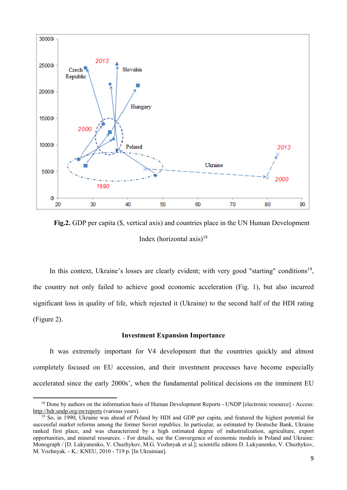

**Fig.2.** GDP per capita (\$, vertical axis) and countries place in the UN Human Development Index (horizontal  $axis$ )<sup>18</sup>

In this context, Ukraine's losses are clearly evident; with very good "starting" conditions<sup>19</sup>. the country not only failed to achieve good economic acceleration (Fig. 1), but also incurred significant loss in quality of life, which rejected it (Ukraine) to the second half of the HDI rating (Figure 2).

## **Investment Expansion Importance**

It was extremely important for V4 development that the countries quickly and almost completely focused on EU accession, and their investment processes have become especially accelerated since the early 2000s', when the fundamental political decisions on the imminent EU

<sup>&</sup>lt;sup>18</sup> Done by authors on the information basis of Human Development Reports - UNDP [electronic resource] - Access: http://hdr.undp.org/en/reports (various years).

<sup>&</sup>lt;sup>19</sup> So, in 1990, Ukraine was ahead of Poland by HDI and GDP per capita, and featured the highest potential for successful market reforms among the former Soviet republics. In particular, as estimated by Deutsche Bank, Ukraine ranked first place, and was characterized by a high estimated degree of industrialization, agriculture, export opportunities, and mineral resources. - For details, see the Convergence of economic models in Poland and Ukraine: Monograph / [D. Lukyanenko, V. Chuzhykov, M.G. Vozhnyak et al.]; scientific editors D. Lukyanenko, V. Chuzhykov, M. Vozhnyak. - K.: KNEU, 2010 - 719 p. [In Ukrainian].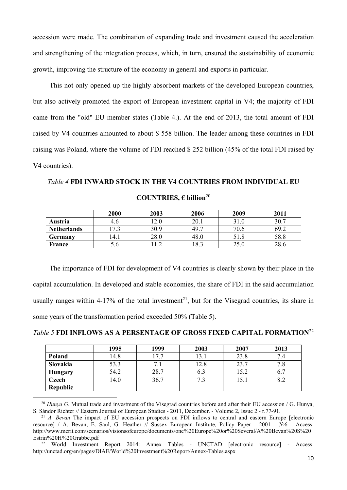accession were made. The combination of expanding trade and investment caused the acceleration and strengthening of the integration process, which, in turn, ensured the sustainability of economic growth, improving the structure of the economy in general and exports in particular.

This not only opened up the highly absorbent markets of the developed European countries, but also actively promoted the export of European investment capital in V4; the majority of FDI came from the "old" EU member states (Table 4.). At the end of 2013, the total amount of FDI raised by V4 countries amounted to about \$ 558 billion. The leader among these countries in FDI raising was Poland, where the volume of FDI reached \$ 252 billion (45% of the total FDI raised by V4 countries).

# *Table 4* **FDI INWARD STOCK IN THE V4 COUNTRIES FROM INDIVIDUAL EU COUNTRIES, € billion**<sup>20</sup>

|                    | 2000  | 2003 | 2006 | 2009 | 2011 |
|--------------------|-------|------|------|------|------|
| Austria            | 4.6   | 2.0  | 20.1 | 31.0 | 30.7 |
| <b>Netherlands</b> | 7.3   | 30.9 | 49.7 | 70.6 | 69.2 |
| Germany            | l 4.1 | 28.0 | 48.0 | 51.8 | 58.8 |
| France             | 5.0   |      | 18.3 | 25.0 | 28.6 |

The importance of FDI for development of V4 countries is clearly shown by their place in the capital accumulation. In developed and stable economies, the share of FDI in the said accumulation usually ranges within 4-17% of the total investment<sup>21</sup>, but for the Visegrad countries, its share in some years of the transformation period exceeded 50% (Table 5).

#### *Table 5* **FDI INFLOWS AS A PERSENTAGE OF GROSS FIXED CAPITAL FORMATION**<sup>22</sup>

|                | 1995 | 1999 | 2003 | 2007 | 2013 |
|----------------|------|------|------|------|------|
| Poland         | 14.8 | 17.7 | 13.1 | 23.8 | 7.4  |
| Slovakia       | 53.3 | ⇁    | 12.8 | 23.7 |      |
| <b>Hungary</b> | 54.2 | 28.7 | 6.3  | 15.2 |      |
| <b>Czech</b>   | 14.0 | 36.7 | 7.3  | 15.1 | 8.2  |
| Republic       |      |      |      |      |      |

<sup>20</sup> *Hunya G.* Mutual trade and investment of the Visegrad countries before and after their EU accession / G. Hunya, S. Sándor Richter // Eastern Journal of European Studies - 2011, December. - Volume 2, Issue 2 - r.77-91. 21 *A. Bevan* The impact of EU accession prospects on FDI inflows to central and eastern Europe [electronic

resource] / A. Bevan, E. Saul, G. Heather  $\frac{1}{\sqrt{2}}$  Sussex European Institute, Policy Paper - 2001 -  $\frac{1}{\sqrt{2}}$  Access: http://www.mcrit.com/scenarios/visionsofeurope/documents/one%20Europe%20or%20Several/A%20Bevan%20S%20 Estrin%20H%20Grabbe.pdf<br><sup>22</sup> World Investment Report 2014: Annex Tables - UNCTAD [electronic resource] - Access:

http://unctad.org/en/pages/DIAE/World%20Investment%20Report/Annex-Tables.aspx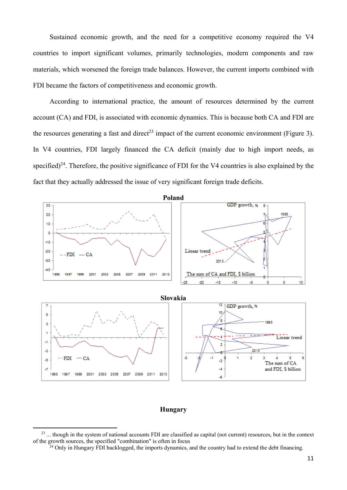Sustained economic growth, and the need for a competitive economy required the V4 countries to import significant volumes, primarily technologies, modern components and raw materials, which worsened the foreign trade balances. However, the current imports combined with FDI became the factors of competitiveness and economic growth.

According to international practice, the amount of resources determined by the current account (CA) and FDI, is associated with economic dynamics. This is because both CA and FDI are the resources generating a fast and direct<sup>23</sup> impact of the current economic environment (Figure 3). In V4 countries, FDI largely financed the CA deficit (mainly due to high import needs, as specified)<sup>24</sup>. Therefore, the positive significance of FDI for the V4 countries is also explained by the fact that they actually addressed the issue of very significant foreign trade deficits.



## **Hungary**

 $^{23}$  ... though in the system of national accounts FDI are classified as capital (not current) resources, but in the context of the growth sources, the specified "combination" is often in focus <sup>24</sup> Only in Hungary FDI backlogged, the imports dynamics, and the country had to extend the debt financing.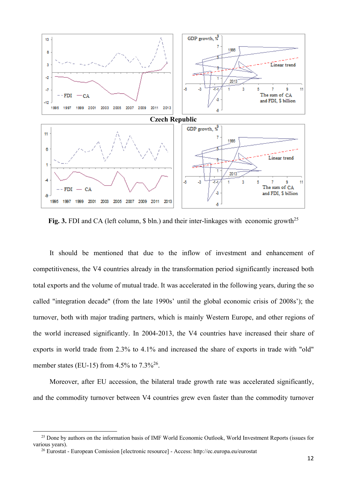

Fig. 3. FDI and CA (left column, \$ bln.) and their inter-linkages with economic growth<sup>25</sup>

It should be mentioned that due to the inflow of investment and enhancement of competitiveness, the V4 countries already in the transformation period significantly increased both total exports and the volume of mutual trade. It was accelerated in the following years, during the so called "integration decade" (from the late 1990s' until the global economic crisis of 2008s'); the turnover, both with major trading partners, which is mainly Western Europe, and other regions of the world increased significantly. In 2004-2013, the V4 countries have increased their share of exports in world trade from 2.3% to 4.1% and increased the share of exports in trade with "old" member states (EU-15) from 4.5% to  $7.3\frac{3}{6}$ .

Moreover, after EU accession, the bilateral trade growth rate was accelerated significantly, and the commodity turnover between V4 countries grew even faster than the commodity turnover

<sup>&</sup>lt;sup>25</sup> Done by authors on the information basis of IMF World Economic Outlook, World Investment Reports (issues for various years).

<sup>26</sup> Eurostat - European Comission [electronic resource] - Access: http://ec.europa.eu/eurostat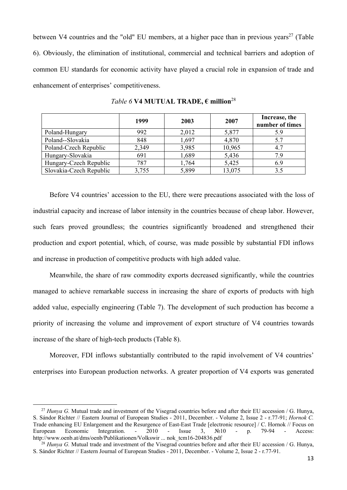between V4 countries and the "old" EU members, at a higher pace than in previous years<sup>27</sup> (Table 6). Obviously, the elimination of institutional, commercial and technical barriers and adoption of common EU standards for economic activity have played a crucial role in expansion of trade and enhancement of enterprises' competitiveness.

|                         | 1999  | 2003  | 2007   | Increase, the<br>number of times |
|-------------------------|-------|-------|--------|----------------------------------|
| Poland-Hungary          | 992   | 2,012 | 5,877  | 5.9                              |
| Poland--Slovakia        | 848   | 1,697 | 4,870  | 5.7                              |
| Poland-Czech Republic   | 2,349 | 3,985 | 10,965 | 4.7                              |
| Hungary-Slovakia        | 691   | 1,689 | 5,436  | 79                               |
| Hungary-Czech Republic  | 787   | 1,764 | 5,425  | 6.9                              |
| Slovakia-Czech Republic | 3,755 | 5,899 | 13,075 | 3.5                              |

*Table 6* **V4 MUTUAL TRADE, € million**<sup>28</sup>

Before V4 countries' accession to the EU, there were precautions associated with the loss of industrial capacity and increase of labor intensity in the countries because of cheap labor. However, such fears proved groundless; the countries significantly broadened and strengthened their production and export potential, which, of course, was made possible by substantial FDI inflows and increase in production of competitive products with high added value.

Meanwhile, the share of raw commodity exports decreased significantly, while the countries managed to achieve remarkable success in increasing the share of exports of products with high added value, especially engineering (Table 7). The development of such production has become a priority of increasing the volume and improvement of export structure of V4 countries towards increase of the share of high-tech products (Table 8).

Moreover, FDI inflows substantially contributed to the rapid involvement of V4 countries' enterprises into European production networks. A greater proportion of V4 exports was generated

<sup>&</sup>lt;sup>27</sup> *Hunya G*. Mutual trade and investment of the Visegrad countries before and after their EU accession / G. Hunya, S. Sándor Richter // Eastern Journal of European Studies - 2011, December. - Volume 2, Issue 2 - r.77-91; *Hornok C.* Trade enhancing EU Enlargement and the Resurgence of East-East Trade [electronic resource] / C. Hornok // Focus on European Economic Integration. - 2010 - Issue 3, №10 - p. 79-94 - Access: http://www.oenb.at/dms/oenb/Publikationen/Volkswir ... nok\_tcm16-204836.pdf

<sup>&</sup>lt;sup>28</sup> *Hunya G*. Mutual trade and investment of the Visegrad countries before and after their EU accession / G. Hunya, S. Sándor Richter // Eastern Journal of European Studies - 2011, December. - Volume 2, Issue 2 - r.77-91.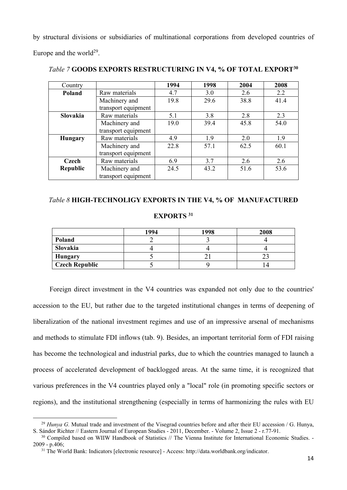by structural divisions or subsidiaries of multinational corporations from developed countries of Europe and the world<sup>29</sup>.

| Country         |                     | 1994 | 1998 | 2004 | 2008 |
|-----------------|---------------------|------|------|------|------|
| Poland          | Raw materials       | 4.7  | 3.0  | 2.6  | 2.2  |
|                 | Machinery and       | 19.8 | 29.6 | 38.8 | 41.4 |
|                 | transport equipment |      |      |      |      |
| Slovakia        | Raw materials       | 5.1  | 3.8  | 2.8  | 2.3  |
|                 | Machinery and       | 19.0 | 39.4 | 45.8 | 54.0 |
|                 | transport equipment |      |      |      |      |
| <b>Hungary</b>  | Raw materials       | 4.9  | 1.9  | 2.0  | 1.9  |
|                 | Machinery and       | 22.8 | 57.1 | 62.5 | 60.1 |
|                 | transport equipment |      |      |      |      |
| Czech           | Raw materials       | 6.9  | 3.7  | 2.6  | 2.6  |
| <b>Republic</b> | Machinery and       | 24.5 | 43.2 | 51.6 | 53.6 |
|                 | transport equipment |      |      |      |      |

*Table 7* **GOODS EXPORTS RESTRUCTURING IN V4, % OF TOTAL EXPORT30**

## *Table 8* **HIGH-TECHNOLIGY EXPORTS IN THE V4, % OF MANUFACTURED**

## **EXPORTS 31**

|                       | 1994 | 1998 | 2008 |
|-----------------------|------|------|------|
| Poland                |      |      |      |
| Slovakia              |      |      |      |
| <b>Hungary</b>        |      |      |      |
| <b>Czech Republic</b> |      |      |      |

Foreign direct investment in the V4 countries was expanded not only due to the countries' accession to the EU, but rather due to the targeted institutional changes in terms of deepening of liberalization of the national investment regimes and use of an impressive arsenal of mechanisms and methods to stimulate FDI inflows (tab. 9). Besides, an important territorial form of FDI raising has become the technological and industrial parks, due to which the countries managed to launch a process of accelerated development of backlogged areas. At the same time, it is recognized that various preferences in the V4 countries played only a "local" role (in promoting specific sectors or regions), and the institutional strengthening (especially in terms of harmonizing the rules with EU

 <sup>29</sup> *Hunya G.* Mutual trade and investment of the Visegrad countries before and after their EU accession / G. Hunya, S. Sándor Richter // Eastern Journal of European Studies - 2011, December. - Volume 2, Issue 2 - r.77-91.

<sup>&</sup>lt;sup>30</sup> Compiled based on WIIW Handbook of Statistics // The Vienna Institute for International Economic Studies. -2009 - p.406;

<sup>31</sup> The World Bank: Indicators [electronic resource] - Access: http://data.worldbank.org/indicator.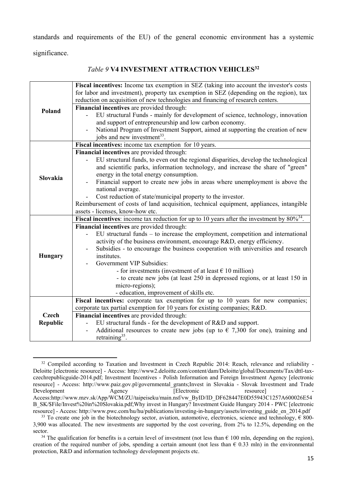standards and requirements of the EU) of the general economic environment has a systemic

significance.

# *Table 9* **V4 INVESTMENT ATTRACTION VEHICLES32**

|                 | Fiscal incentives: Income tax exemption in SEZ (taking into account the investor's costs<br>for labor and investment), property tax exemption in SEZ (depending on the region), tax |
|-----------------|-------------------------------------------------------------------------------------------------------------------------------------------------------------------------------------|
|                 | reduction on acquisition of new technologies and financing of research centers.                                                                                                     |
| Poland          | Financial incentives are provided through:                                                                                                                                          |
|                 | EU structural Funds - mainly for development of science, technology, innovation                                                                                                     |
|                 | and support of entrepreneurship and low carbon economy.                                                                                                                             |
|                 | National Program of Investment Support, aimed at supporting the creation of new                                                                                                     |
|                 | jobs and new investment <sup>33</sup> .                                                                                                                                             |
|                 | Fiscal incentives: income tax exemption for 10 years.                                                                                                                               |
|                 | Financial incentives are provided through:                                                                                                                                          |
|                 | EU structural funds, to even out the regional disparities, develop the technological                                                                                                |
|                 | and scientific parks, information technology, and increase the share of "green"                                                                                                     |
| Slovakia        | energy in the total energy consumption.                                                                                                                                             |
|                 | Financial support to create new jobs in areas where unemployment is above the                                                                                                       |
|                 | national average.                                                                                                                                                                   |
|                 | Cost reduction of state/municipal property to the investor.                                                                                                                         |
|                 | Reimbursement of costs of land acquisition, technical equipment, appliances, intangible                                                                                             |
|                 | assets - licenses, know-how etc.                                                                                                                                                    |
|                 | <b>Fiscal incentives:</b> income tax reduction for up to 10 years after the investment by $80\%^{34}$ .                                                                             |
|                 | Financial incentives are provided through:                                                                                                                                          |
|                 | EU structural funds – to increase the employment, competition and international                                                                                                     |
|                 | activity of the business environment, encourage R&D, energy efficiency.                                                                                                             |
|                 | Subsidies - to encourage the business cooperation with universities and research                                                                                                    |
| Hungary         | institutes.                                                                                                                                                                         |
|                 | Government VIP Subsidies:                                                                                                                                                           |
|                 | - for investments (investment of at least $\in$ 10 million)                                                                                                                         |
|                 | - to create new jobs (at least 250 in depressed regions, or at least 150 in                                                                                                         |
|                 | micro-regions);                                                                                                                                                                     |
|                 | - education, improvement of skills etc.                                                                                                                                             |
|                 | Fiscal incentives: corporate tax exemption for up to 10 years for new companies;                                                                                                    |
|                 | corporate tax partial exemption for 10 years for existing companies; R&D.                                                                                                           |
| <b>Czech</b>    | Financial incentives are provided through:                                                                                                                                          |
| <b>Republic</b> | EU structural funds - for the development of R&D and support.                                                                                                                       |
|                 | Additional resources to create new jobs (up to $\epsilon$ 7,300 for one), training and                                                                                              |
|                 | retraining $35$ .                                                                                                                                                                   |

<sup>&</sup>lt;sup>32</sup> Compiled according to Taxation and Investment in Czech Republic 2014: Reach, relevance and reliability -Deloitte [electronic resource] - Access: http://www2.deloitte.com/content/dam/Deloitte/global/Documents/Tax/dttl-taxczechrepublicguide-2014.pdf; Investment Incentives - Polish Information and Foreign Investment Agency [electronic resource] - Access: http://www.paiz.gov.pl/governmental\_grants;Invest in Slovakia - Slovak Investment and Trade Development Agency [Electronic resource] Access:http://www.mzv.sk/App/WCM/ZU/taipeiseku/main.nsf/vw\_ByID/ID\_DF628447E0D55943C1257A600026E54 B\_SK/\$File/Invest%20in%20Slovakia.pdf;Why invest in Hungary? Investment Guide Hungary 2014 - PWC [electronic resource] - Access: http://www.pwc.com/hu/hu/publications/investing-in-hungary/assets/investing\_guide\_en\_2014.pdf

<sup>&</sup>lt;sup>33</sup> To create one job in the biotechnology sector, aviation, automotive, electronics, science and technology,  $\epsilon$  800-3,900 was allocated. The new investments are supported by the cost covering, from 2% to 12.5%, depending on the sector.

<sup>&</sup>lt;sup>34</sup> The qualification for benefits is a certain level of investment (not less than  $\epsilon$  100 mln, depending on the region), creation of the required number of jobs, spending a certain amount (not less than  $\epsilon$  0.33 mln) in the environmental protection, R&D and information technology development projects etc.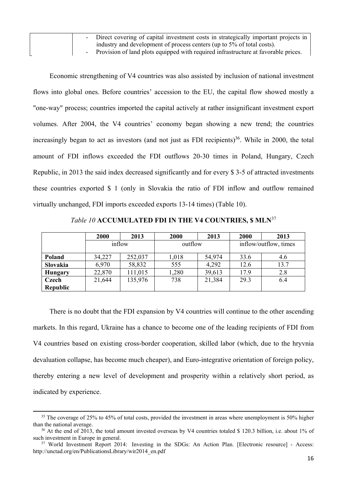| - Direct covering of capital investment costs in strategically important projects in |
|--------------------------------------------------------------------------------------|
| industry and development of process centers (up to 5% of total costs).               |
| - Provision of land plots equipped with required infrastructure at favorable prices. |

Economic strengthening of V4 countries was also assisted by inclusion of national investment flows into global ones. Before countries' accession to the EU, the capital flow showed mostly a "one-way" process; countries imported the capital actively at rather insignificant investment export volumes. After 2004, the V4 countries' economy began showing a new trend; the countries increasingly began to act as investors (and not just as FDI recipients)<sup>36</sup>. While in 2000, the total amount of FDI inflows exceeded the FDI outflows 20-30 times in Poland, Hungary, Czech Republic, in 2013 the said index decreased significantly and for every \$ 3-5 of attracted investments these countries exported \$ 1 (only in Slovakia the ratio of FDI inflow and outflow remained virtually unchanged, FDI imports exceeded exports 13-14 times) (Table 10).

|                 | 2000   | 2013    | 2000    | 2013   | <b>2000</b>           | 2013 |
|-----------------|--------|---------|---------|--------|-----------------------|------|
|                 | inflow |         | outflow |        | inflow/outflow, times |      |
| Poland          | 34,227 | 252,037 | 1,018   | 54,974 | 33.6                  | 4.6  |
| Slovakia        | 6,970  | 58,832  | 555     | 4,292  | 12.6                  | 13.7 |
| Hungary         | 22,870 | 111,015 | ,280    | 39,613 | 17.9                  | 2.8  |
| <b>Czech</b>    | 21,644 | 135,976 | 738     | 21,384 | 29.3                  | 6.4  |
| <b>Republic</b> |        |         |         |        |                       |      |

*Table 10* **ACCUMULATED FDI IN THE V4 COUNTRIES, \$ MLN**<sup>37</sup>

There is no doubt that the FDI expansion by V4 countries will continue to the other ascending markets. In this regard, Ukraine has a chance to become one of the leading recipients of FDI from V4 countries based on existing cross-border cooperation, skilled labor (which, due to the hryvnia devaluation collapse, has become much cheaper), and Euro-integrative orientation of foreign policy, thereby entering a new level of development and prosperity within a relatively short period, as indicated by experience.

<sup>&</sup>lt;u> 1989 - Johann Stoff, amerikansk politiker (d. 1989)</u> <sup>35</sup> The coverage of 25% to 45% of total costs, provided the investment in areas where unemployment is 50% higher than the national average.

<sup>&</sup>lt;sup>36</sup> At the end of 2013, the total amount invested overseas by V4 countries totaled \$ 120.3 billion, i.e. about 1% of such investment in Europe in general.

<sup>37</sup> World Investment Report 2014: Investing in the SDGs: An Action Plan. [Electronic resource] - Access: http://unctad.org/en/PublicationsLibrary/wir2014\_en.pdf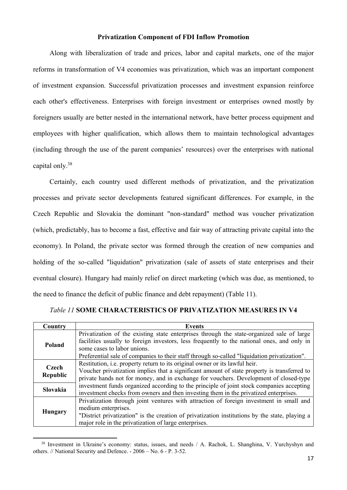## **Privatization Component of FDI Inflow Promotion**

Along with liberalization of trade and prices, labor and capital markets, one of the major reforms in transformation of V4 economies was privatization, which was an important component of investment expansion. Successful privatization processes and investment expansion reinforce each other's effectiveness. Enterprises with foreign investment or enterprises owned mostly by foreigners usually are better nested in the international network, have better process equipment and employees with higher qualification, which allows them to maintain technological advantages (including through the use of the parent companies' resources) over the enterprises with national capital only.38

Certainly, each country used different methods of privatization, and the privatization processes and private sector developments featured significant differences. For example, in the Czech Republic and Slovakia the dominant "non-standard" method was voucher privatization (which, predictably, has to become a fast, effective and fair way of attracting private capital into the economy). In Poland, the private sector was formed through the creation of new companies and holding of the so-called "liquidation" privatization (sale of assets of state enterprises and their eventual closure). Hungary had mainly relief on direct marketing (which was due, as mentioned, to the need to finance the deficit of public finance and debt repayment) (Table 11).

| Country                  | <b>Events</b>                                                                                                             |
|--------------------------|---------------------------------------------------------------------------------------------------------------------------|
| Poland                   | Privatization of the existing state enterprises through the state-organized sale of large                                 |
|                          | facilities usually to foreign investors, less frequently to the national ones, and only in<br>some cases to labor unions. |
|                          | Preferential sale of companies to their staff through so-called "liquidation privatization".                              |
| Czech<br><b>Republic</b> | Restitution, i.e. property return to its original owner or its lawful heir.                                               |
|                          | Voucher privatization implies that a significant amount of state property is transferred to                               |
|                          | private hands not for money, and in exchange for vouchers. Development of closed-type                                     |
| <b>Slovakia</b>          | investment funds organized according to the principle of joint stock companies accepting                                  |
|                          | investment checks from owners and then investing them in the privatized enterprises.                                      |
| <b>Hungary</b>           | Privatization through joint ventures with attraction of foreign investment in small and                                   |
|                          | medium enterprises.                                                                                                       |
|                          | "District privatization" is the creation of privatization institutions by the state, playing a                            |
|                          | major role in the privatization of large enterprises.                                                                     |

# *Table 11* **SOME CHARACTERISTICS OF PRIVATIZATION MEASURES IN V4**

<sup>&</sup>lt;sup>38</sup> Investment in Ukraine's economy: status, issues, and needs / A. Rachok, L. Shanghina, V. Yurchyshyn and others. // National Security and Defence. - 2006 – No. 6 - P. 3-52.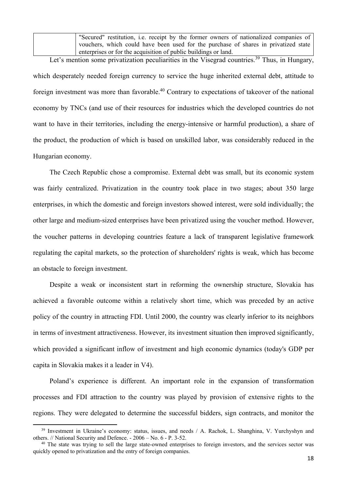"Secured" restitution, i.e. receipt by the former owners of nationalized companies of vouchers, which could have been used for the purchase of shares in privatized state enterprises or for the acquisition of public buildings or land.

Let's mention some privatization peculiarities in the Visegrad countries.<sup>39</sup> Thus, in Hungary, which desperately needed foreign currency to service the huge inherited external debt, attitude to foreign investment was more than favorable.<sup>40</sup> Contrary to expectations of takeover of the national economy by TNCs (and use of their resources for industries which the developed countries do not want to have in their territories, including the energy-intensive or harmful production), a share of the product, the production of which is based on unskilled labor, was considerably reduced in the Hungarian economy.

The Czech Republic chose a compromise. External debt was small, but its economic system was fairly centralized. Privatization in the country took place in two stages; about 350 large enterprises, in which the domestic and foreign investors showed interest, were sold individually; the other large and medium-sized enterprises have been privatized using the voucher method. However, the voucher patterns in developing countries feature a lack of transparent legislative framework regulating the capital markets, so the protection of shareholders' rights is weak, which has become an obstacle to foreign investment.

Despite a weak or inconsistent start in reforming the ownership structure, Slovakia has achieved a favorable outcome within a relatively short time, which was preceded by an active policy of the country in attracting FDI. Until 2000, the country was clearly inferior to its neighbors in terms of investment attractiveness. However, its investment situation then improved significantly, which provided a significant inflow of investment and high economic dynamics (today's GDP per capita in Slovakia makes it a leader in V4).

Poland's experience is different. An important role in the expansion of transformation processes and FDI attraction to the country was played by provision of extensive rights to the regions. They were delegated to determine the successful bidders, sign contracts, and monitor the

<sup>&</sup>lt;sup>39</sup> Investment in Ukraine's economy: status, issues, and needs / A. Rachok, L. Shanghina, V. Yurchyshyn and others. // National Security and Defence. - 2006 – No. 6 - P. 3-52.

<sup>&</sup>lt;sup>40</sup> The state was trying to sell the large state-owned enterprises to foreign investors, and the services sector was quickly opened to privatization and the entry of foreign companies.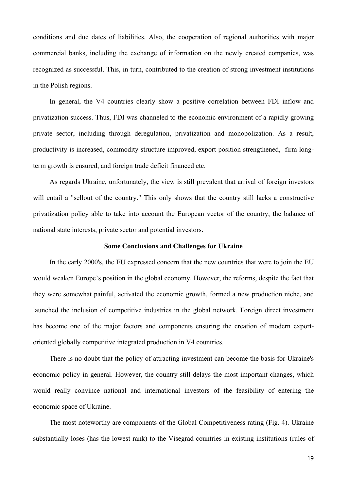conditions and due dates of liabilities. Also, the cooperation of regional authorities with major commercial banks, including the exchange of information on the newly created companies, was recognized as successful. This, in turn, contributed to the creation of strong investment institutions in the Polish regions.

In general, the V4 countries clearly show a positive correlation between FDI inflow and privatization success. Thus, FDI was channeled to the economic environment of a rapidly growing private sector, including through deregulation, privatization and monopolization. As a result, productivity is increased, commodity structure improved, export position strengthened, firm longterm growth is ensured, and foreign trade deficit financed etc.

As regards Ukraine, unfortunately, the view is still prevalent that arrival of foreign investors will entail a "sellout of the country." This only shows that the country still lacks a constructive privatization policy able to take into account the European vector of the country, the balance of national state interests, private sector and potential investors.

## **Some Conclusions and Challenges for Ukraine**

In the early 2000's, the EU expressed concern that the new countries that were to join the EU would weaken Europe's position in the global economy. However, the reforms, despite the fact that they were somewhat painful, activated the economic growth, formed a new production niche, and launched the inclusion of competitive industries in the global network. Foreign direct investment has become one of the major factors and components ensuring the creation of modern exportoriented globally competitive integrated production in V4 countries.

There is no doubt that the policy of attracting investment can become the basis for Ukraine's economic policy in general. However, the country still delays the most important changes, which would really convince national and international investors of the feasibility of entering the economic space of Ukraine.

The most noteworthy are components of the Global Competitiveness rating (Fig. 4). Ukraine substantially loses (has the lowest rank) to the Visegrad countries in existing institutions (rules of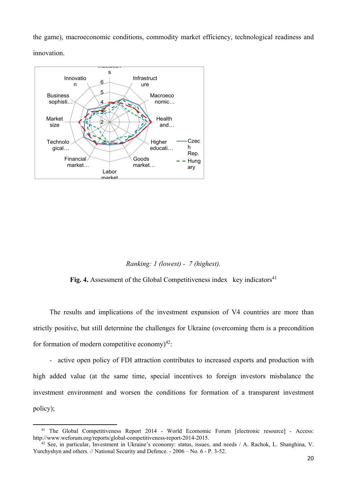the game), macroeconomic conditions, commodity market efficiency, technological readiness and innovation.



# *Ranking: 1 (lowest) - 7 (highest).*

**Fig. 4.** Assessment of the Global Competitiveness index key indicators<sup>41</sup>

The results and implications of the investment expansion of V4 countries are more than strictly positive, but still determine the challenges for Ukraine (overcoming them is a precondition for formation of modern competitive economy) $^{42}$ :

*-* active open policy of FDI attraction contributes to increased exports and production with high added value (at the same time, special incentives to foreign investors misbalance the investment environment and worsen the conditions for formation of a transparent investment policy);

<sup>&</sup>lt;sup>41</sup> The Global Competitiveness Report 2014 - World Ecomomic Forum [electronic resource] - Access:<br>http://www.weforum.org/reports/global-competitiveness-report-2014-2015.

 $h^2$  See, in particular, Investment in Ukraine's economy: status, issues, and needs / A. Rachok, L. Shanghina, V. Yurchyshyn and others. // National Security and Defence. - 2006 – No. 6 - P. 3-52.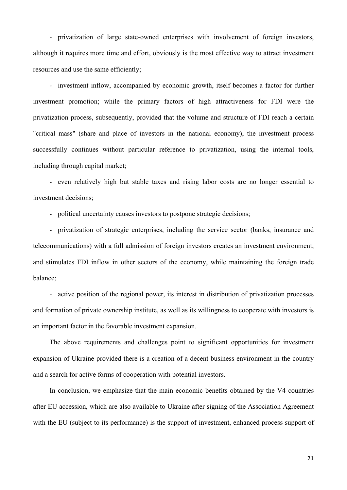*-* privatization of large state-owned enterprises with involvement of foreign investors, although it requires more time and effort, obviously is the most effective way to attract investment resources and use the same efficiently;

*-* investment inflow, accompanied by economic growth, itself becomes a factor for further investment promotion; while the primary factors of high attractiveness for FDI were the privatization process, subsequently, provided that the volume and structure of FDI reach a certain "critical mass" (share and place of investors in the national economy), the investment process successfully continues without particular reference to privatization, using the internal tools, including through capital market;

*-* even relatively high but stable taxes and rising labor costs are no longer essential to investment decisions;

*-* political uncertainty causes investors to postpone strategic decisions;

*-* privatization of strategic enterprises, including the service sector (banks, insurance and telecommunications) with a full admission of foreign investors creates an investment environment, and stimulates FDI inflow in other sectors of the economy, while maintaining the foreign trade balance;

*-* active position of the regional power, its interest in distribution of privatization processes and formation of private ownership institute, as well as its willingness to cooperate with investors is an important factor in the favorable investment expansion.

The above requirements and challenges point to significant opportunities for investment expansion of Ukraine provided there is a creation of a decent business environment in the country and a search for active forms of cooperation with potential investors.

In conclusion, we emphasize that the main economic benefits obtained by the V4 countries after EU accession, which are also available to Ukraine after signing of the Association Agreement with the EU (subject to its performance) is the support of investment, enhanced process support of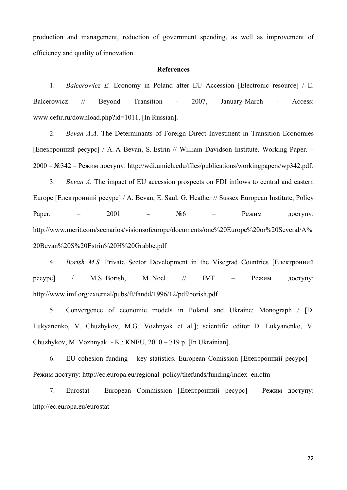production and management, reduction of government spending, as well as improvement of efficiency and quality of innovation.

#### **References**

1. *Balcerowicz E.* Economy in Poland after EU Accession [Electronic resource] / E. Balcerowicz // Beyond Transition - 2007, January-March - Access: www.cefir.ru/download.php?id=1011. [In Russian].

2. *Bevan A.A.* The Determinants of Foreign Direct Investment in Transition Economies [Електронний ресурс] / A. A Bevan, S. Estrin // William Davidson Institute. Working Paper. – 2000 – №342 – Режим доступу: http://wdi.umich.edu/files/publications/workingpapers/wp342.pdf.

3. *Bevan А.* The impact of EU accession prospects on FDI inflows to central and eastern Europe [Електронний ресурс] / A. Bevan, E. Saul, G. Heather // Sussex European Institute, Policy Paper. – 2001 –  $N$ <u>о</u>6 – Режим доступу: http://www.mcrit.com/scenarios/visionsofeurope/documents/one%20Europe%20or%20Several/A% 20Bevan%20S%20Estrin%20H%20Grabbe.pdf

4. *Borish M.S.* Private Sector Development in the Visegrad Countries [Електронний ресурс] / M.S. Borish, M. Noel // IMF – Режим доступу: http://www.imf.org/external/pubs/ft/fandd/1996/12/pdf/borish.pdf

5. Convergence of economic models in Poland and Ukraine: Monograph / [D. Lukyanenko, V. Chuzhykov, M.G. Vozhnyak et al.]; scientific editor D. Lukyanenko, V. Chuzhykov, M. Vozhnyak. - K.: KNEU, 2010 – 719 p. [In Ukrainian].

6. EU cohesion funding – key statistics. European Comission [Електронний ресурс] – Режим доступу: http://ec.europa.eu/regional\_policy/thefunds/funding/index\_en.cfm

7. Eurostat – European Commission [Електронний ресурс] – Режим доступу: http://ec.europa.eu/eurostat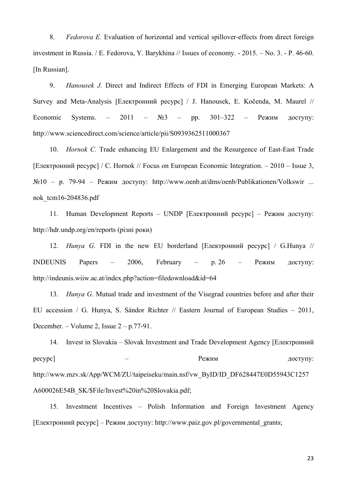8. *Fedorova E.* Evaluation of horizontal and vertical spillover-effects from direct foreign investment in Russia. / E. Fedorova, Y. Barykhina // Issues of economy. - 2015. – No. 3. - P. 46-60. [In Russian].

9. *Hanousek J.* Direct and Indirect Effects of FDI in Emerging European Markets: A Survey and Meta-Analysis [Електронний ресурс] / J. Hanousek, E. Kočenda, M. Maurel // Economic Systems. – 2011 – №3 – pp. 301–322 – Режим доступу: http://www.sciencedirect.com/science/article/pii/S0939362511000367

10. *Hornok C.* Trade enhancing EU Enlargement and the Resurgence of East-East Trade [Електронний ресурс] / C. Hornok // Focus on European Economic Integration. – 2010 – Issue 3, №10 – p. 79-94 – Режим доступу: http://www.oenb.at/dms/oenb/Publikationen/Volkswir ... nok\_tcm16-204836.pdf

11. Human Development Reports – UNDP [Електронний ресурс] – Режим доступу: http://hdr.undp.org/en/reports (різні роки)

12. *Hunya G.* FDI in the new EU borderland [Електронний ресурс] / G.Hunya // INDEUNIS Papers – 2006, February – p. 26 – Режим доступу: http://indeunis.wiiw.ac.at/index.php?action=filedownload&id=64

13. *Hunya G*. Mutual trade and investment of the Visegrad countries before and after their EU accession / G. Hunya, S. Sándor Richter // Eastern Journal of European Studies – 2011, December. – Volume 2, Issue 2 – р.77-91.

14. Invest in Slovakia – Slovak Investment and Trade Development Agency [Електронний ресурс] — Президент и режим проступу: http://www.mzv.sk/App/WCM/ZU/taipeiseku/main.nsf/vw\_ByID/ID\_DF628447E0D55943C1257 A600026E54B\_SK/\$File/Invest%20in%20Slovakia.pdf;

15. Investment Incentives – Polish Information and Foreign Investment Agency [Електронний ресурс] – Режим доступу: http://www.paiz.gov.pl/governmental\_grants;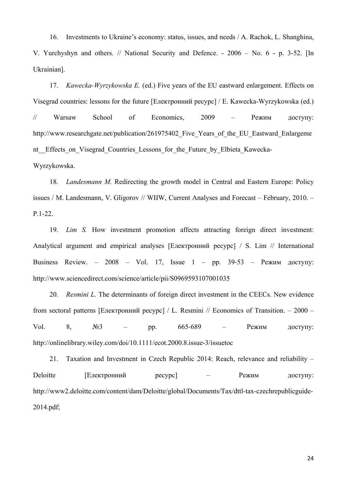16. Investments to Ukraine's economy: status, issues, and needs / A. Rachok, L. Shanghina, V. Yurchyshyn and others. // National Security and Defence. - 2006 – No. 6 - p. 3-52. [In Ukrainian].

17. *Kawecka-Wyrzykowska E.* (ed.) Five years of the EU eastward enlargement. Effects on Visegrad countries: lessons for the future [Електронний ресурс] / E. Kawecka-Wyrzykowska (ed.) // Warsaw School of Economics, 2009 – Режим доступу: http://www.researchgate.net/publication/261975402 Five Years of the EU Eastward Enlargeme nt Effects on Visegrad Countries Lessons for the Future by Elbieta Kawecka-Wyrzykowska.

18. *Landesmann M.* Redirecting the growth model in Central and Eastern Europe: Policy issues / M. Landesmann, V. Gligorov // WIIW, Current Analyses and Forecast – February, 2010. – P.1-22.

19. *Lim S.* How investment promotion affects attracting foreign direct investment: Analytical argument and empirical analyses [Електронний ресурс] / S. Lim // International Business Review. – 2008 – Vol. 17, Issue 1 – pp. 39‐53 – Режим доступу: http://www.sciencedirect.com/science/article/pii/S0969593107001035

20. *Resmini L.* The determinants of foreign direct investment in the CEECs. New evidence from sectoral patterns [Електронний ресурс] / L. Resmini // Economics of Transition. – 2000 – Vol. 8,  $N_2^3$  – pp. 665–689 – Режим доступу: http://onlinelibrary.wiley.com/doi/10.1111/ecot.2000.8.issue-3/issuetoc

21. Taxation and Investment in Czech Republic 2014: Reach, relevance and reliability – Deloitte [Електронний ресурс] – Режим доступу: http://www2.deloitte.com/content/dam/Deloitte/global/Documents/Tax/dttl-tax-czechrepublicguide-2014.pdf;